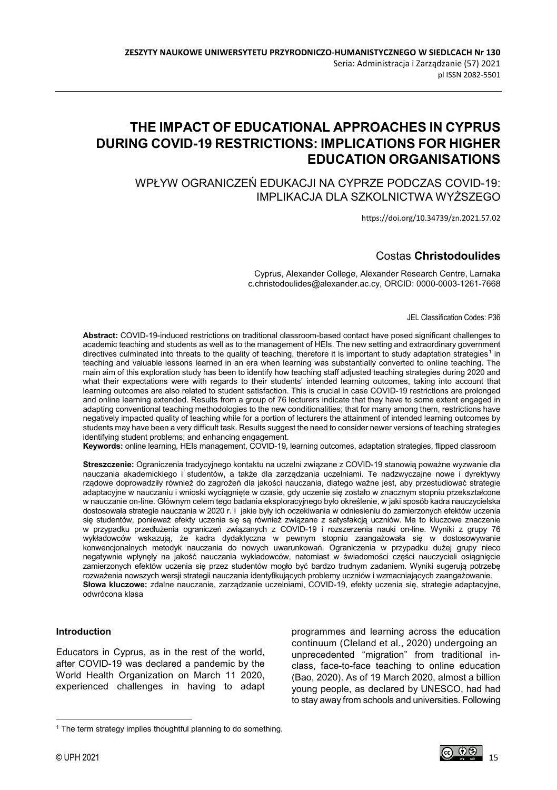# **THE IMPACT OF EDUCATIONAL APPROACHES IN CYPRUS DURING COVID-19 RESTRICTIONS: IMPLICATIONS FOR HIGHER EDUCATION ORGANISATIONS**

WPŁYW OGRANICZEŃ EDUKACJI NA CYPRZE PODCZAS COVID-19: IMPLIKACJA DLA SZKOLNICTWA WYŻSZEGO

https://doi.org/10.34739/zn.2021.57.02

## Costas **Christodoulides**

Cyprus, Alexander College, Alexander Research Centre, Larnaka c.christodoulides@alexander.ac.cy, ORCID: 0000-0003-1261-7668

JEL Classification Codes: P36

**Abstract:** COVID-19-induced restrictions on traditional classroom-based contact have posed significant challenges to academic teaching and students as well as to the management of HEIs. The new setting and extraordinary government directives culminated into threats to the quality of teaching, therefore it is important to study adaptation strategies<sup>[1](#page-0-0)</sup> in teaching and valuable lessons learned in an era when learning was substantially converted to online teaching. The main aim of this exploration study has been to identify how teaching staff adjusted teaching strategies during 2020 and what their expectations were with regards to their students' intended learning outcomes, taking into account that learning outcomes are also related to student satisfaction. This is crucial in case COVID-19 restrictions are prolonged and online learning extended. Results from a group of 76 lecturers indicate that they have to some extent engaged in adapting conventional teaching methodologies to the new conditionalities; that for many among them, restrictions have negatively impacted quality of teaching while for a portion of lecturers the attainment of intended learning outcomes by students may have been a very difficult task. Results suggest the need to consider newer versions of teaching strategies identifying student problems; and enhancing engagement.

**Keywords:** online learning, HEIs management, COVID-19, learning outcomes, adaptation strategies, flipped classroom

**Streszczenie:** Ograniczenia tradycyjnego kontaktu na uczelni związane z COVID-19 stanowią poważne wyzwanie dla nauczania akademickiego i studentów, a także dla zarządzania uczelniami. Te nadzwyczajne nowe i dyrektywy rządowe doprowadziły również do zagrożeń dla jakości nauczania, dlatego ważne jest, aby przestudiować strategie adaptacyjne w nauczaniu i wnioski wyciągnięte w czasie, gdy uczenie się zostało w znacznym stopniu przekształcone w nauczanie on-line. Głównym celem tego badania eksploracyjnego było określenie, w jaki sposób kadra nauczycielska dostosowała strategie nauczania w 2020 r. I jakie były ich oczekiwania w odniesieniu do zamierzonych efektów uczenia się studentów, ponieważ efekty uczenia się są również związane z satysfakcją uczniów. Ma to kluczowe znaczenie w przypadku przedłużenia ograniczeń związanych z COVID-19 i rozszerzenia nauki on-line. Wyniki z grupy 76 wykładowców wskazują, że kadra dydaktyczna w pewnym stopniu zaangażowała się w dostosowywanie konwencjonalnych metodyk nauczania do nowych uwarunkowań. Ograniczenia w przypadku dużej grupy nieco negatywnie wpłynęły na jakość nauczania wykładowców, natomiast w świadomości części nauczycieli osiągnięcie zamierzonych efektów uczenia się przez studentów mogło być bardzo trudnym zadaniem. Wyniki sugerują potrzebę rozważenia nowszych wersji strategii nauczania identyfikujących problemy uczniów i wzmacniających zaangażowanie. **Słowa kluczowe:** zdalne nauczanie, zarządzanie uczelniami, COVID-19, efekty uczenia się, strategie adaptacyjne, odwrócona klasa

#### **Introduction**

Educators in Cyprus, as in the rest of the world, after COVID-19 was declared a pandemic by the World Health Organization on March 11 2020, experienced challenges in having to adapt programmes and learning across the education continuum (Cleland et al., 2020) undergoing an unprecedented "migration" from traditional inclass, face-to-face teaching to online education (Bao, 2020). As of 19 March 2020, almost a billion young people, as declared by UNESCO, had had to stay away from schools and universities. Following

 $\overline{a}$ 

<span id="page-0-0"></span><sup>&</sup>lt;sup>1</sup> The term strategy implies thoughtful planning to do something.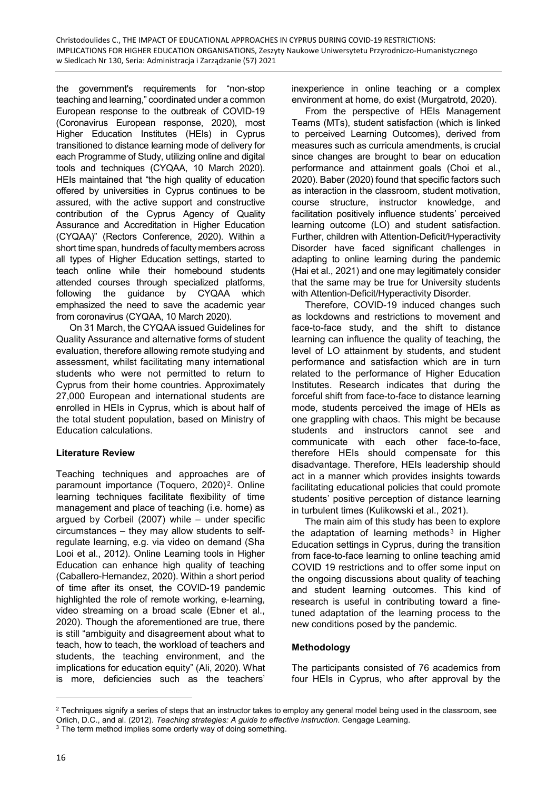the government's requirements for "non-stop teaching and learning," coordinated under a common European response to the outbreak of COVID-19 (Coronavirus European response, 2020), most Higher Education Institutes (HEIs) in Cyprus transitioned to distance learning mode of delivery for each Programme of Study, utilizing online and digital tools and techniques (CYQAA, 10 March 2020). HEIs maintained that "the high quality of education offered by universities in Cyprus continues to be assured, with the active support and constructive contribution of the Cyprus Agency of Quality Assurance and Accreditation in Higher Education (CYQAA)" (Rectors Conference, 2020). Within a short time span, hundreds of faculty members across all types of Higher Education settings, started to teach online while their homebound students attended courses through specialized platforms, following the guidance by CYQAA which emphasized the need to save the academic year from coronavirus (CYQAA, 10 March 2020).

On 31 March, the CYQAA issued Guidelines for Quality Assurance and alternative forms of student evaluation, therefore allowing remote studying and assessment, whilst facilitating many international students who were not permitted to return to Cyprus from their home countries. Approximately 27,000 European and international students are enrolled in HEIs in Cyprus, which is about half of the total student population, based on Ministry of Education calculations.

## **Literature Review**

Teaching techniques and approaches are of paramount importance (Toquero, 2020)<sup>2</sup>. Online learning techniques facilitate flexibility of time management and place of teaching (i.e. home) as argued by Corbeil (2007) while – under specific circumstances – they may allow students to selfregulate learning, e.g. via video on demand (Sha Looi et al., 2012). Online Learning tools in Higher Education can enhance high quality of teaching (Caballero-Hernandez, 2020). Within a short period of time after its onset, the COVID-19 pandemic highlighted the role of remote working, e-learning, video streaming on a broad scale (Ebner et al., 2020). Though the aforementioned are true, there is still "ambiguity and disagreement about what to teach, how to teach, the workload of teachers and students, the teaching environment, and the implications for education equity" (Ali, 2020). What is more, deficiencies such as the teachers'

inexperience in online teaching or a complex environment at home, do exist (Murgatrotd, 2020).

From the perspective of HEIs Management Teams (MTs), student satisfaction (which is linked to perceived Learning Outcomes), derived from measures such as curricula amendments, is crucial since changes are brought to bear on education performance and attainment goals (Choi et al., 2020). Baber (2020) found that specific factors such as interaction in the classroom, student motivation, course structure, instructor knowledge, and facilitation positively influence students' perceived learning outcome (LO) and student satisfaction. Further, children with Attention-Deficit/Hyperactivity Disorder have faced significant challenges in adapting to online learning during the pandemic (Hai et al., 2021) and one may legitimately consider that the same may be true for University students with Attention-Deficit/Hyperactivity Disorder.

Therefore, COVID-19 induced changes such as lockdowns and restrictions to movement and face-to-face study, and the shift to distance learning can influence the quality of teaching, the level of LO attainment by students, and student performance and satisfaction which are in turn related to the performance of Higher Education Institutes. Research indicates that during the forceful shift from face-to-face to distance learning mode, students perceived the image of HEIs as one grappling with chaos. This might be because students and instructors cannot see and communicate with each other face-to-face, therefore HEIs should compensate for this disadvantage. Therefore, HEIs leadership should act in a manner which provides insights towards facilitating educational policies that could promote students' positive perception of distance learning in turbulent times (Kulikowski et al., 2021).

The main aim of this study has been to explore the adaptation of learning methods<sup>3</sup> in Higher Education settings in Cyprus, during the transition from face-to-face learning to online teaching amid COVID 19 restrictions and to offer some input on the ongoing discussions about quality of teaching and student learning outcomes. This kind of research is useful in contributing toward a finetuned adaptation of the learning process to the new conditions posed by the pandemic.

## **Methodology**

The participants consisted of 76 academics from four HEIs in Cyprus, who after approval by the

 $\overline{a}$ 

<span id="page-1-0"></span> $2$  Techniques signify a series of steps that an instructor takes to employ any general model being used in the classroom, see Orlich, D.C., and al. (2012). *Teaching strategies: A guide to effective instruction*. Cengage Learning.<br><sup>3</sup> The term method implies some orderly way of doing something.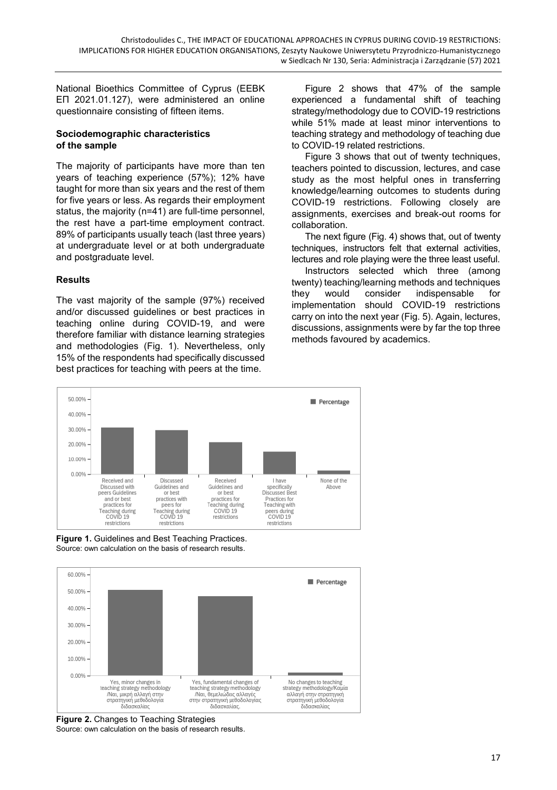National Bioethics Committee of Cyprus (EEBK ΕΠ 2021.01.127), were administered an online questionnaire consisting of fifteen items.

#### **Sociodemographic characteristics of the sample**

The majority of participants have more than ten years of teaching experience (57%); 12% have taught for more than six years and the rest of them for five years or less. As regards their employment status, the majority (n=41) are full-time personnel, the rest have a part-time employment contract. 89% of participants usually teach (last three years) at undergraduate level or at both undergraduate and postgraduate level.

## **Results**

The vast majority of the sample (97%) received and/or discussed guidelines or best practices in teaching online during COVID-19, and were therefore familiar with distance learning strategies and methodologies (Fig. 1). Nevertheless, only 15% of the respondents had specifically discussed best practices for teaching with peers at the time.

Figure 2 shows that 47% of the sample experienced a fundamental shift of teaching strategy/methodology due to COVID-19 restrictions while 51% made at least minor interventions to teaching strategy and methodology of teaching due to COVID-19 related restrictions.

Figure 3 shows that out of twenty techniques, teachers pointed to discussion, lectures, and case study as the most helpful ones in transferring knowledge/learning outcomes to students during COVID-19 restrictions. Following closely are assignments, exercises and break-out rooms for collaboration.

The next figure (Fig. 4) shows that, out of twenty techniques, instructors felt that external activities, lectures and role playing were the three least useful.

Instructors selected which three (among twenty) teaching/learning methods and techniques they would consider indispensable for implementation should COVID-19 restrictions carry on into the next year (Fig. 5). Again, lectures, discussions, assignments were by far the top three methods favoured by academics.



**Figure 1.** Guidelines and Best Teaching Practices. Source: own calculation on the basis of research results.



**Figure 2.** Changes to Teaching Strategies Source: own calculation on the basis of research results.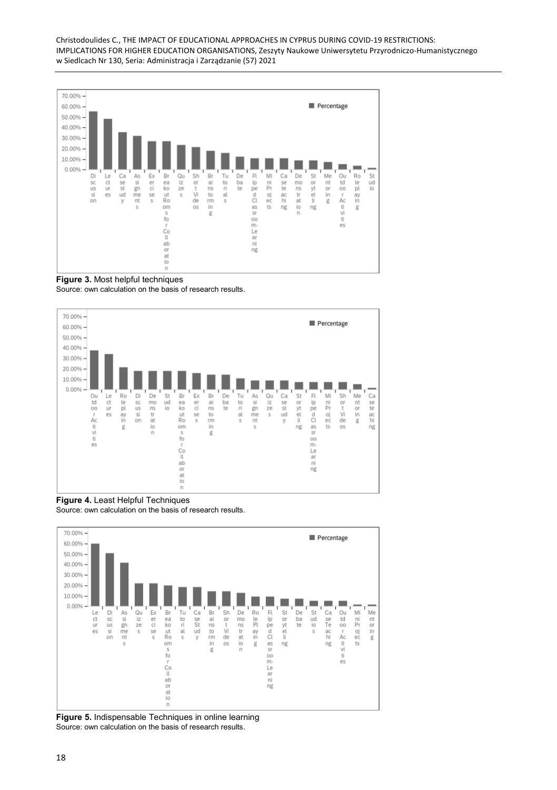

**Figure 3.** Most helpful techniques

Source: own calculation on the basis of research results.



**Figure 4.** Least Helpful Techniques Source: own calculation on the basis of research results.



**Figure 5.** Indispensable Techniques in online learning Source: own calculation on the basis of research results.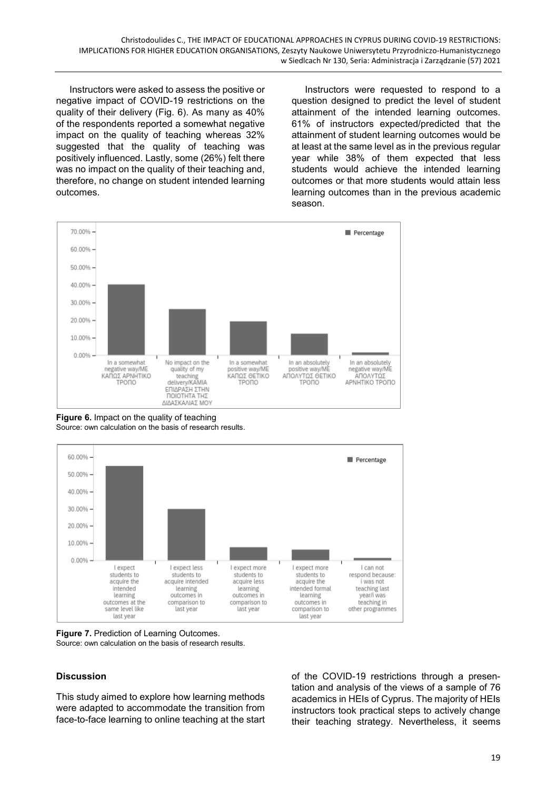Instructors were asked to assess the positive or negative impact of COVID-19 restrictions on the quality of their delivery (Fig. 6). As many as 40% of the respondents reported a somewhat negative impact on the quality of teaching whereas 32% suggested that the quality of teaching was positively influenced. Lastly, some (26%) felt there was no impact on the quality of their teaching and, therefore, no change on student intended learning outcomes.

Instructors were requested to respond to a question designed to predict the level of student attainment of the intended learning outcomes. 61% of instructors expected/predicted that the attainment of student learning outcomes would be at least at the same level as in the previous regular year while 38% of them expected that less students would achieve the intended learning outcomes or that more students would attain less learning outcomes than in the previous academic season.



**Figure 6.** Impact on the quality of teaching Source: own calculation on the basis of research results.



**Figure 7.** Prediction of Learning Outcomes. Source: own calculation on the basis of research results.

## **Discussion**

This study aimed to explore how learning methods were adapted to accommodate the transition from face-to-face learning to online teaching at the start of the COVID-19 restrictions through a presentation and analysis of the views of a sample of 76 academics in HEIs of Cyprus. The majority of HEIs instructors took practical steps to actively change their teaching strategy. Nevertheless, it seems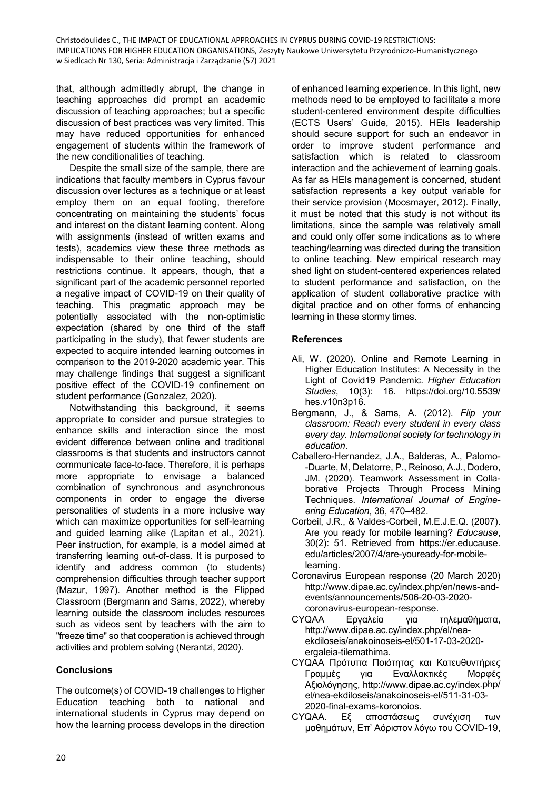that, although admittedly abrupt, the change in teaching approaches did prompt an academic discussion of teaching approaches; but a specific discussion of best practices was very limited. This may have reduced opportunities for enhanced engagement of students within the framework of the new conditionalities of teaching.

Despite the small size of the sample, there are indications that faculty members in Cyprus favour discussion over lectures as a technique or at least employ them on an equal footing, therefore concentrating on maintaining the students' focus and interest on the distant learning content. Along with assignments (instead of written exams and tests), academics view these three methods as indispensable to their online teaching, should restrictions continue. It appears, though, that a significant part of the academic personnel reported a negative impact of COVID-19 on their quality of teaching. This pragmatic approach may be potentially associated with the non-optimistic expectation (shared by one third of the staff participating in the study), that fewer students are expected to acquire intended learning outcomes in comparison to the 2019-2020 academic year. This may challenge findings that suggest a significant positive effect of the COVID-19 confinement on student performance (Gonzalez, 2020).

Notwithstanding this background, it seems appropriate to consider and pursue strategies to enhance skills and interaction since the most evident difference between online and traditional classrooms is that students and instructors cannot communicate face-to-face. Therefore, it is perhaps more appropriate to envisage a balanced combination of synchronous and asynchronous components in order to engage the diverse personalities of students in a more inclusive way which can maximize opportunities for self-learning and guided learning alike (Lapitan et al., 2021). Peer instruction, for example, is a model aimed at transferring learning out-of-class. It is purposed to identify and address common (to students) comprehension difficulties through teacher support (Mazur, 1997). Another method is the Flipped Classroom (Bergmann and Sams, 2022), whereby learning outside the classroom includes resources such as videos sent by teachers with the aim to "freeze time" so that cooperation is achieved through activities and problem solving (Nerantzi, 2020).

## **Conclusions**

The outcome(s) of COVID-19 challenges to Higher Education teaching both to national and international students in Cyprus may depend on how the learning process develops in the direction of enhanced learning experience. In this light, new methods need to be employed to facilitate a more student-centered environment despite difficulties (ECTS Users' Guide, 2015). HEIs leadership should secure support for such an endeavor in order to improve student performance and satisfaction which is related to classroom interaction and the achievement of learning goals. As far as HEIs management is concerned, student satisfaction represents a key output variable for their service provision (Moosmayer, 2012). Finally, it must be noted that this study is not without its limitations, since the sample was relatively small and could only offer some indications as to where teaching/learning was directed during the transition to online teaching. New empirical research may shed light on student-centered experiences related to student performance and satisfaction, on the application of student collaborative practice with digital practice and on other forms of enhancing learning in these stormy times.

## **References**

- Ali, W. (2020). Online and Remote Learning in Higher Education Institutes: A Necessity in the Light of Covid19 Pandemic. *Higher Education Studies*, 10(3): 16. https://doi.org/10.5539/ hes.v10n3p16.
- Bergmann, J., & Sams, A. (2012). *Flip your classroom: Reach every student in every class every day. International society for technology in education*.
- Caballero-Hernandez, J.A., Balderas, A., Palomo- -Duarte, M, Delatorre, P., Reinoso, A.J., Dodero, JM. (2020). Teamwork Assessment in Collaborative Projects Through Process Mining Techniques. *International Journal of Engineering Education*, 36, 470–482.
- Corbeil, J.R., & Valdes-Corbeil, M.E.J.E.Q. (2007). Are you ready for mobile learning? *Educause*, 30(2): 51. Retrieved from https://er.educause. edu/articles/2007/4/are-youready-for-mobilelearning.
- Coronavirus European response (20 March 2020) http://www.dipae.ac.cy/index.php/en/news-andevents/announcements/506-20-03-2020 coronavirus-european-response.
- CYQAA Eργαλεία για τηλεμαθήματα, http://www.dipae.ac.cy/index.php/el/neaekdiloseis/anakoinoseis-el/501-17-03-2020 ergaleia-tilemathima.
- CYQAA Πρότυπα Ποιότητας και Κατευθυντήριες Γραμμές για Εναλλακτικές Μορφές Αξιολόγησης, http://www.dipae.ac.cy/index.php/ el/nea-ekdiloseis/anakoinoseis-el/511-31-03- 2020-final-exams-koronoios.
- CYQAA. Eξ αποστάσεως συνέχιση των μαθημάτων, Επ' Αόριστον λόγω του COVID-19,